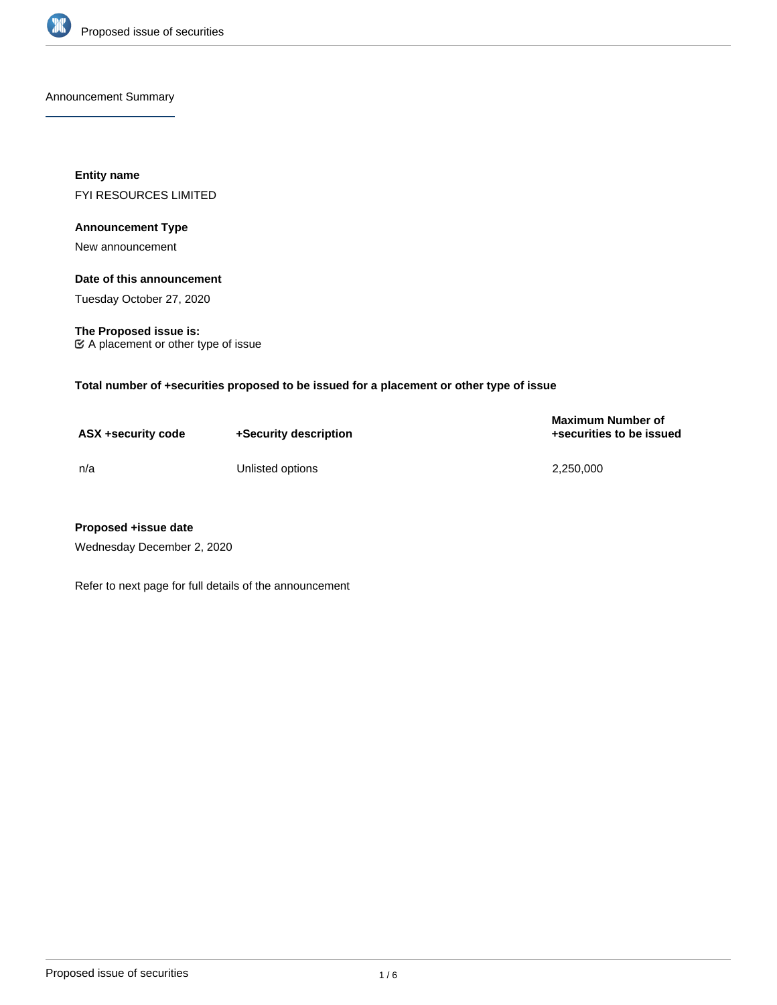

Announcement Summary

**Entity name** FYI RESOURCES LIMITED

## **Announcement Type**

New announcement

# **Date of this announcement**

Tuesday October 27, 2020

**The Proposed issue is:** A placement or other type of issue

**Total number of +securities proposed to be issued for a placement or other type of issue**

| ASX +security code | +Security description | <b>Maximum Number of</b><br>+securities to be issued |
|--------------------|-----------------------|------------------------------------------------------|
| n/a                | Unlisted options      | 2,250,000                                            |

## **Proposed +issue date**

Wednesday December 2, 2020

Refer to next page for full details of the announcement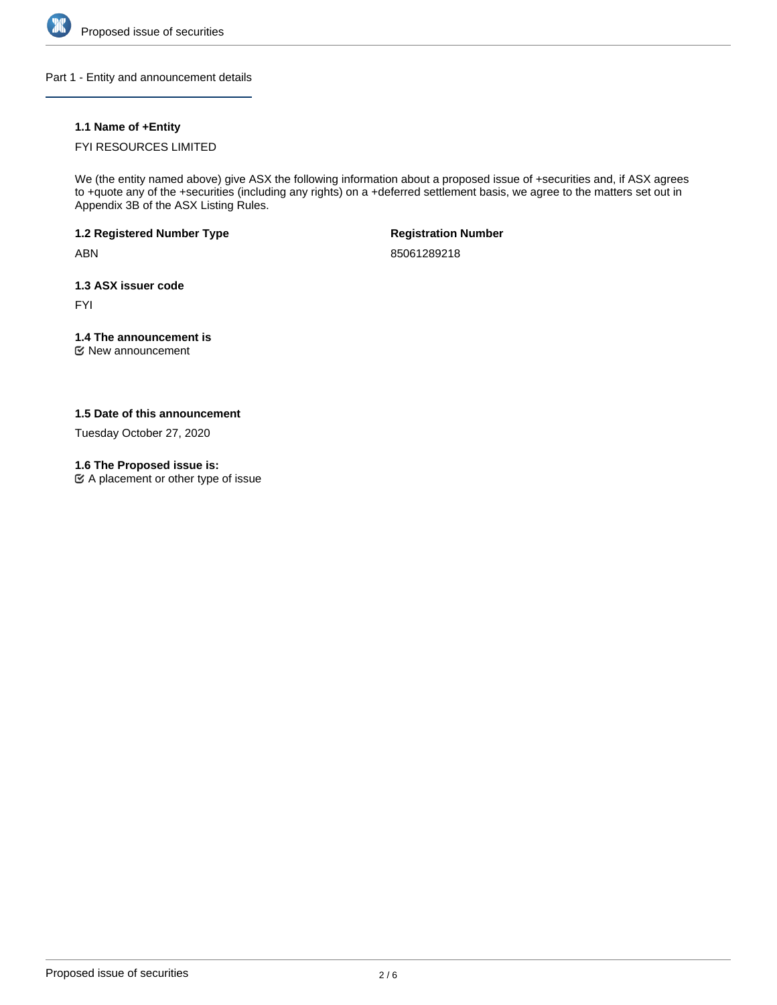

Part 1 - Entity and announcement details

# **1.1 Name of +Entity**

# FYI RESOURCES LIMITED

We (the entity named above) give ASX the following information about a proposed issue of +securities and, if ASX agrees to +quote any of the +securities (including any rights) on a +deferred settlement basis, we agree to the matters set out in Appendix 3B of the ASX Listing Rules.

**1.2 Registered Number Type**

ABN

**Registration Number**

85061289218

**1.3 ASX issuer code**

FYI

# **1.4 The announcement is**

New announcement

## **1.5 Date of this announcement**

Tuesday October 27, 2020

## **1.6 The Proposed issue is:**

A placement or other type of issue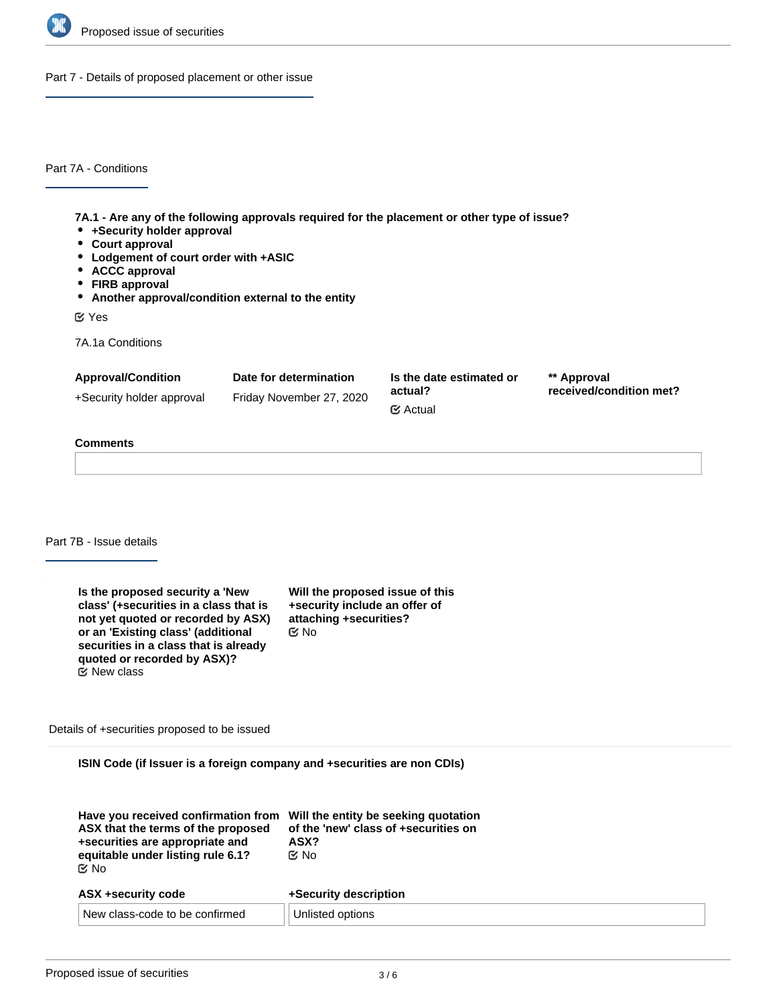

Part 7 - Details of proposed placement or other issue

Part 7A - Conditions

**7A.1 - Are any of the following approvals required for the placement or other type of issue?**

- **+Security holder approval**
- **Court approval**
- **Lodgement of court order with +ASIC**
- **ACCC approval**
- **FIRB approval**
- **Another approval/condition external to the entity**

Yes

7A.1a Conditions

| <b>Approval/Condition</b> | Date for determination   | Is the date estimated or         | ** Approval             |
|---------------------------|--------------------------|----------------------------------|-------------------------|
| +Security holder approval | Friday November 27, 2020 | actual?<br>$\mathfrak{C}$ Actual | received/condition met? |

# **Comments**

Part 7B - Issue details

| Is the proposed security a 'New<br>class' (+securities in a class that is<br>not yet quoted or recorded by ASX)<br>or an 'Existing class' (additional<br>securities in a class that is already<br>quoted or recorded by ASX)? | Will the proposed issue of this<br>+security include an offer of<br>attaching +securities?<br>ඦ No |
|-------------------------------------------------------------------------------------------------------------------------------------------------------------------------------------------------------------------------------|----------------------------------------------------------------------------------------------------|
| $\mathfrak{C}$ New class                                                                                                                                                                                                      |                                                                                                    |

Details of +securities proposed to be issued

**ISIN Code (if Issuer is a foreign company and +securities are non CDIs)**

| Have you received confirmation from<br>ASX that the terms of the proposed<br>+securities are appropriate and<br>equitable under listing rule 6.1?<br><b>প্রি No</b> | Will the entity be seeking quotation<br>of the 'new' class of +securities on<br>ASX?<br>় No |  |
|---------------------------------------------------------------------------------------------------------------------------------------------------------------------|----------------------------------------------------------------------------------------------|--|
| ASX +security code                                                                                                                                                  | +Security description                                                                        |  |
| New class-code to be confirmed                                                                                                                                      | Unlisted options                                                                             |  |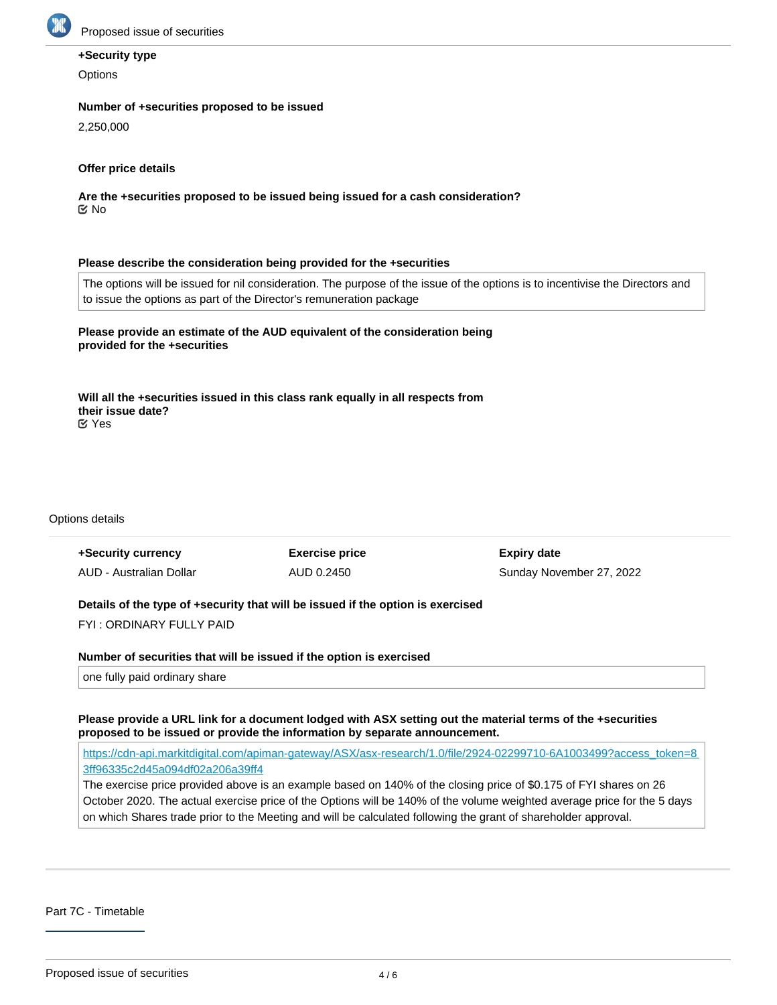

### **+Security type**

**Options** 

#### **Number of +securities proposed to be issued**

2,250,000

### **Offer price details**

**Are the +securities proposed to be issued being issued for a cash consideration?** No

#### **Please describe the consideration being provided for the +securities**

The options will be issued for nil consideration. The purpose of the issue of the options is to incentivise the Directors and to issue the options as part of the Director's remuneration package

**Please provide an estimate of the AUD equivalent of the consideration being provided for the +securities**

**Will all the +securities issued in this class rank equally in all respects from their issue date?** Yes

#### Options details

| +Security currency      | <b>Exercise price</b> | <b>Expiry date</b>       |
|-------------------------|-----------------------|--------------------------|
| AUD - Australian Dollar | AUD 0.2450            | Sunday November 27, 2022 |

### **Details of the type of +security that will be issued if the option is exercised**

FYI : ORDINARY FULLY PAID

**Number of securities that will be issued if the option is exercised**

one fully paid ordinary share

**Please provide a URL link for a document lodged with ASX setting out the material terms of the +securities proposed to be issued or provide the information by separate announcement.**

[https://cdn-api.markitdigital.com/apiman-gateway/ASX/asx-research/1.0/file/2924-02299710-6A1003499?access\\_token=8](https://cdn-api.markitdigital.com/apiman-gateway/ASX/asx-research/1.0/file/2924-02299710-6A1003499?access_token=83ff96335c2d45a094df02a206a39ff4) [3ff96335c2d45a094df02a206a39ff4](https://cdn-api.markitdigital.com/apiman-gateway/ASX/asx-research/1.0/file/2924-02299710-6A1003499?access_token=83ff96335c2d45a094df02a206a39ff4)

The exercise price provided above is an example based on 140% of the closing price of \$0.175 of FYI shares on 26 October 2020. The actual exercise price of the Options will be 140% of the volume weighted average price for the 5 days on which Shares trade prior to the Meeting and will be calculated following the grant of shareholder approval.

Part 7C - Timetable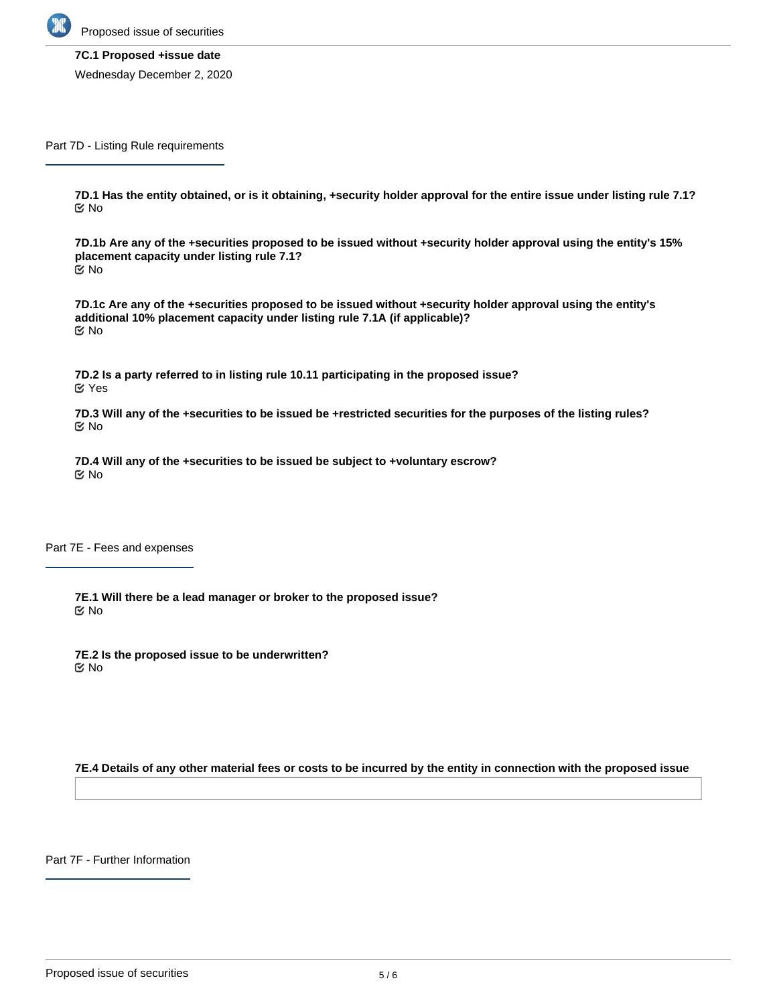

Proposed issue of securities

#### **7C.1 Proposed +issue date**

Wednesday December 2, 2020

Part 7D - Listing Rule requirements

**7D.1 Has the entity obtained, or is it obtaining, +security holder approval for the entire issue under listing rule 7.1?** No

**7D.1b Are any of the +securities proposed to be issued without +security holder approval using the entity's 15% placement capacity under listing rule 7.1?** No

**7D.1c Are any of the +securities proposed to be issued without +security holder approval using the entity's additional 10% placement capacity under listing rule 7.1A (if applicable)?** No

**7D.2 Is a party referred to in listing rule 10.11 participating in the proposed issue?** Yes

**7D.3 Will any of the +securities to be issued be +restricted securities for the purposes of the listing rules?** No

**7D.4 Will any of the +securities to be issued be subject to +voluntary escrow?** No

Part 7E - Fees and expenses

**7E.1 Will there be a lead manager or broker to the proposed issue?** No

**7E.2 Is the proposed issue to be underwritten? K** No

**7E.4 Details of any other material fees or costs to be incurred by the entity in connection with the proposed issue**

Part 7F - Further Information